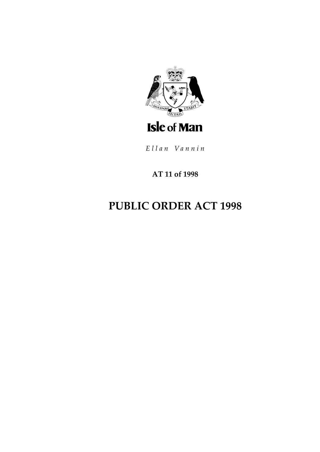

Ellan Vannin

# AT 11 of 1998

# **PUBLIC ORDER ACT 1998**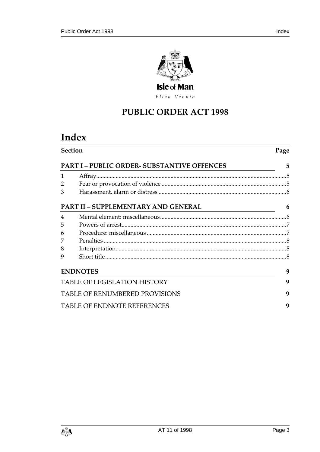

Ellan Vannin

# **PUBLIC ORDER ACT 1998**

# Index

| <b>Section</b>                                   |                                     | Page |
|--------------------------------------------------|-------------------------------------|------|
| <b>PART I-PUBLIC ORDER- SUBSTANTIVE OFFENCES</b> |                                     |      |
| 1                                                |                                     |      |
| 2                                                |                                     |      |
| 3                                                |                                     |      |
|                                                  | PART II - SUPPLEMENTARY AND GENERAL | 6    |
| 4                                                |                                     |      |
| 5                                                |                                     |      |
| 6                                                |                                     |      |
| 7                                                |                                     |      |
| 8                                                |                                     |      |
| 9                                                |                                     |      |
|                                                  | <b>ENDNOTES</b>                     | 9    |
| <b>TABLE OF LEGISLATION HISTORY</b>              |                                     |      |
| <b>TABLE OF RENUMBERED PROVISIONS</b>            |                                     |      |
| <b>TABLE OF ENDNOTE REFERENCES</b>               |                                     |      |

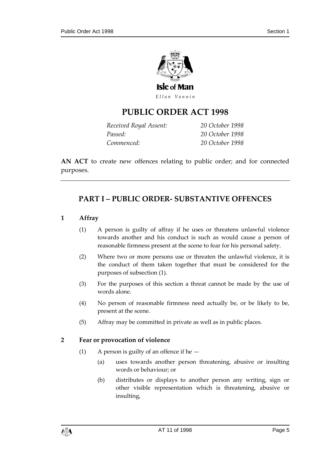

Ellan Vannin

# **PUBLIC ORDER ACT 199 8**

| Received Royal Assent: | 20 October 1998 |
|------------------------|-----------------|
| Passed:                | 20 October 1998 |
| Commenced:             | 20 October 1998 |

**AN ACT** to create new offences relating to public order; and for connected purposes.

# <span id="page-4-0"></span>**PART I – PUBLIC ORDER- SUBSTANTIVE OFFENCES**

#### <span id="page-4-1"></span>**1 Affray**

- (1) A person is guilty of affray if he uses or threatens unlawful violence towards another and his conduct is such as would cause a person of reasonable firmness present at the scene to fear for his personal safety.
- (2) Where two or more persons use or threaten the unlawful violence, it is the conduct of them taken together that must be considered for the purposes of subsection (1).
- (3) For the purposes of this section a threat cannot be made by the use of words alone.
- (4) No person of reasonable firmness need actually be, or be likely to be, present at the scene.
- (5) Affray may be committed in private as well as in public places.

#### <span id="page-4-2"></span>**2 Fear or provocation of violence**

- (1) A person is guilty of an offence if he  $-$ 
	- (a) uses towards another person threatening, abusive or insulting words or behaviour; or
	- (b) distributes or displays to another person any writing, sign or other visible representation which is threatening, abusive or insulting,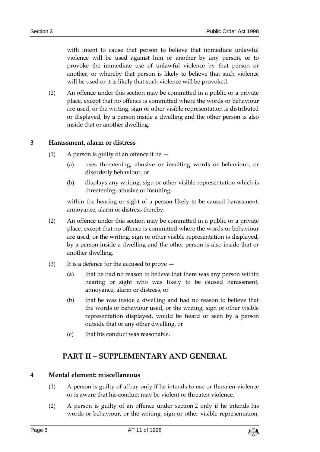with intent to cause that person to believe that immediate unlawful violence will be used against him or another by any person, or to provoke the immediate use of unlawful violence by that person or another, or whereby that person is likely to believe that such violence will be used or it is likely that such violence will be provoked.

(2) An offence under this section may be committed in a public or a private place, except that no offence is committed where the words or behaviour are used, or the writing, sign or other visible representation is distributed or displayed, by a person inside a dwelling and the other person is also inside that or another dwelling.

#### <span id="page-5-0"></span>**3 Harassment, alarm or distress**

- (1) A person is guilty of an offence if he  $-$ 
	- (a) uses threatening, abusive or insulting words or behaviour, or disorderly behaviour, or
	- (b) displays any writing, sign or other visible representation which is threatening, abusive or insulting,

within the hearing or sight of a person likely to be caused harassment, annoyance, alarm or distress thereby.

- (2) An offence under this section may be committed in a public or a private place, except that no offence is committed where the words or behaviour are used, or the writing, sign or other visible representation is displayed, by a person inside a dwelling and the other person is also inside that or another dwelling.
- (3) It is a defence for the accused to prove
	- (a) that he had no reason to believe that there was any person within hearing or sight who was likely to be caused harassment, annoyance, alarm or distress, or
	- (b) that he was inside a dwelling and had no reason to believe that the words or behaviour used, or the writing, sign or other visible representation displayed, would be heard or seen by a person outside that or any other dwelling, or
	- (c) that his conduct was reasonable.

## **PART II – SUPPLEMENTARY AND GENERAL**

#### <span id="page-5-2"></span><span id="page-5-1"></span>**4 Mental element: miscellaneous**

- (1) A person is guilty of affray only if he intends to use or threaten violence or is aware that his conduct may be violent or threaten violence.
- (2) A person is guilty of an offence under section 2 only if he intends his words or behaviour, or the writing, sign or other visible representation,

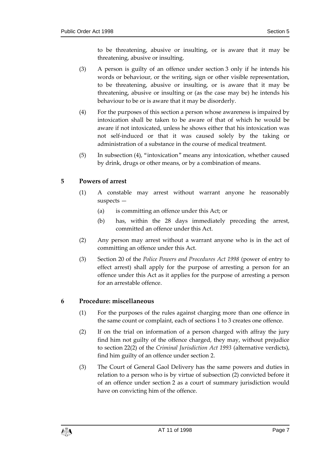to be threatening, abusive or insulting, or is aware that it may be threatening, abusive or insulting.

- (3) A person is guilty of an offence under section 3 only if he intends his words or behaviour, or the writing, sign or other visible representation, to be threatening, abusive or insulting, or is aware that it may be threatening, abusive or insulting or (as the case may be) he intends his behaviour to be or is aware that it may be disorderly.
- (4) For the purposes of this section a person whose awareness is impaired by intoxication shall be taken to be aware of that of which he would be aware if not intoxicated, unless he shows either that his intoxication was not self-induced or that it was caused solely by the taking or administration of a substance in the course of medical treatment.
- (5) In subsection (4), "intoxication" means any intoxication, whether caused by drink, drugs or other means, or by a combination of means.

#### <span id="page-6-0"></span>**5 Powers of arrest**

- (1) A constable may arrest without warrant anyone he reasonably suspects —
	- (a) is committing an offence under this Act; or
	- (b) has, within the 28 days immediately preceding the arrest, committed an offence under this Act.
- (2) Any person may arrest without a warrant anyone who is in the act of committing an offence under this Act.
- (3) Section 20 of the *Police Powers and Procedures Act 1998* (power of entry to effect arrest) shall apply for the purpose of arresting a person for an offence under this Act as it applies for the purpose of arresting a person for an arrestable offence.

### <span id="page-6-1"></span>**6 Procedure: miscellaneous**

- (1) For the purposes of the rules against charging more than one offence in the same count or complaint, each of sections 1 to 3 creates one offence.
- (2) If on the trial on information of a person charged with affray the jury find him not guilty of the offence charged, they may, without prejudice to section 22(2) of the *Criminal Jurisdiction Act 1993* (alternative verdicts), find him guilty of an offence under section 2.
- (3) The Court of General Gaol Delivery has the same powers and duties in relation to a person who is by virtue of subsection (2) convicted before it of an offence under section 2 as a court of summary jurisdiction would have on convicting him of the offence.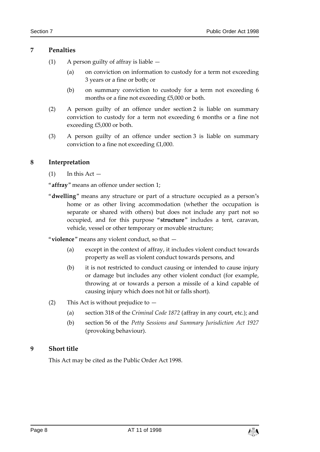#### <span id="page-7-0"></span>**7 Penalties**

- (1) A person guilty of affray is liable
	- (a) on conviction on information to custody for a term not exceeding 3 years or a fine or both; or
	- (b) on summary conviction to custody for a term not exceeding 6 months or a fine not exceeding £5,000 or both.
- (2) A person guilty of an offence under section 2 is liable on summary conviction to custody for a term not exceeding 6 months or a fine not exceeding £5,000 or both.
- (3) A person guilty of an offence under section 3 is liable on summary conviction to a fine not exceeding £1,000.

#### <span id="page-7-1"></span>**8 Interpretation**

 $(1)$  In this Act  $-$ 

"**affray**" means an offence under section 1;

"**dwelling**" means any structure or part of a structure occupied as a person's home or as other living accommodation (whether the occupation is separate or shared with others) but does not include any part not so occupied, and for this purpose "**structure**" includes a tent, caravan, vehicle, vessel or other temporary or movable structure;

"**violence**" means any violent conduct, so that —

- (a) except in the context of affray, it includes violent conduct towards property as well as violent conduct towards persons, and
- (b) it is not restricted to conduct causing or intended to cause injury or damage but includes any other violent conduct (for example, throwing at or towards a person a missile of a kind capable of causing injury which does not hit or falls short).
- (2) This Act is without prejudice to
	- (a) section 318 of the *Criminal Code 1872* (affray in any court, etc.); and
	- (b) section 56 of the *Petty Sessions and Summary Jurisdiction Act 1927* (provoking behaviour).

#### <span id="page-7-2"></span>**9 Short title**

This Act may be cited as the Public Order Act 1998.